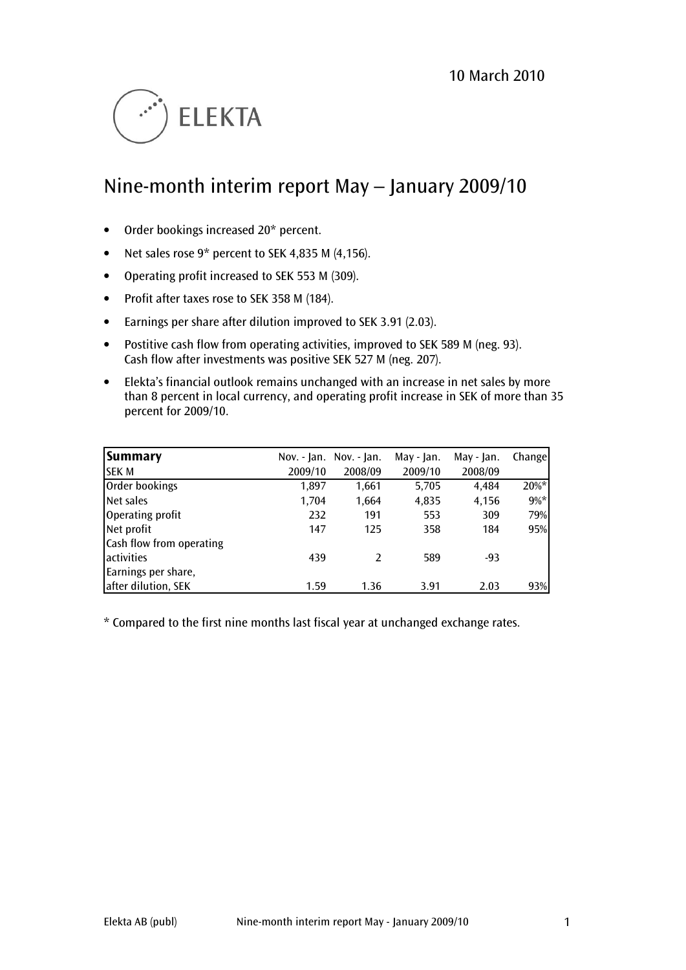

# Nine-month interim report May – January 2009/10

- Order bookings increased 20\* percent.
- Net sales rose 9\* percent to SEK 4,835 M (4,156).
- Operating profit increased to SEK 553 M (309).
- Profit after taxes rose to SEK 358 M (184).
- Earnings per share after dilution improved to SEK 3.91 (2.03).
- Postitive cash flow from operating activities, improved to SEK 589 M (neg. 93). Cash flow after investments was positive SEK 527 M (neg. 207).
- Elekta's financial outlook remains unchanged with an increase in net sales by more than 8 percent in local currency, and operating profit increase in SEK of more than 35 percent for 2009/10.

| Summary                  |         | Nov. - Jan. Nov. - Jan. | May - Jan. | May - Jan. | Change  |
|--------------------------|---------|-------------------------|------------|------------|---------|
| <b>SEK M</b>             | 2009/10 | 2008/09                 | 2009/10    | 2008/09    |         |
| Order bookings           | 1,897   | 1,661                   | 5,705      | 4,484      | 20%*    |
| Net sales                | 1,704   | 1,664                   | 4,835      | 4,156      | $9\% *$ |
| Operating profit         | 232     | 191                     | 553        | 309        | 79%     |
| Net profit               | 147     | 125                     | 358        | 184        | 95%     |
| Cash flow from operating |         |                         |            |            |         |
| activities               | 439     |                         | 589        | -93        |         |
| Earnings per share,      |         |                         |            |            |         |
| after dilution, SEK      | 1.59    | 1.36                    | 3.91       | 2.03       | 93%     |

\* Compared to the first nine months last fiscal year at unchanged exchange rates.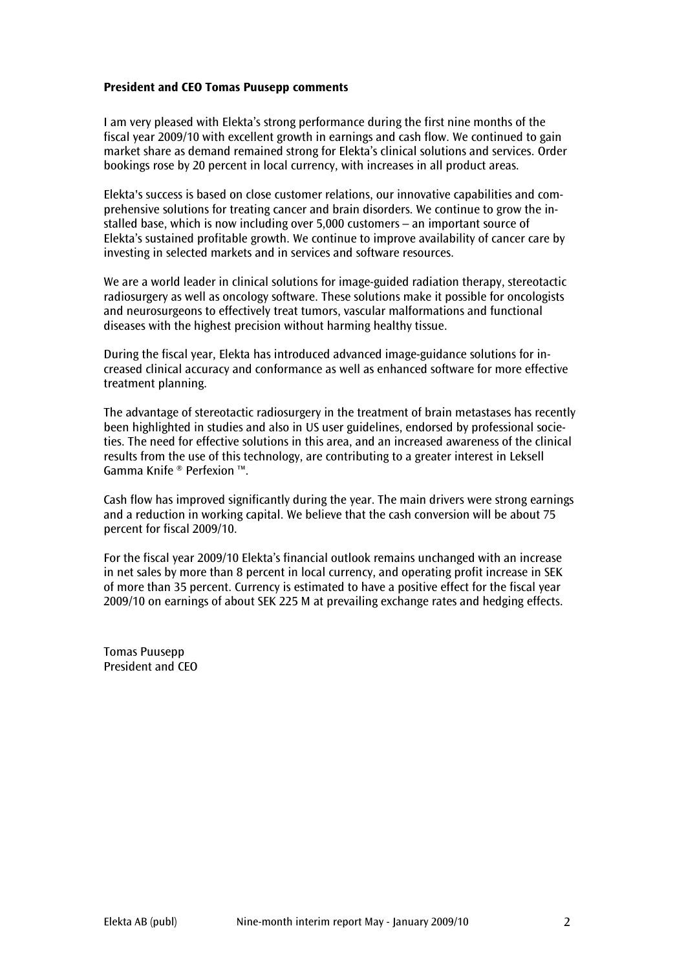#### President and CEO Tomas Puusepp comments

I am very pleased with Elekta's strong performance during the first nine months of the fiscal year 2009/10 with excellent growth in earnings and cash flow. We continued to gain market share as demand remained strong for Elekta's clinical solutions and services. Order bookings rose by 20 percent in local currency, with increases in all product areas.

Elekta's success is based on close customer relations, our innovative capabilities and comprehensive solutions for treating cancer and brain disorders. We continue to grow the installed base, which is now including over 5,000 customers – an important source of Elekta's sustained profitable growth. We continue to improve availability of cancer care by investing in selected markets and in services and software resources.

We are a world leader in clinical solutions for image-guided radiation therapy, stereotactic radiosurgery as well as oncology software. These solutions make it possible for oncologists and neurosurgeons to effectively treat tumors, vascular malformations and functional diseases with the highest precision without harming healthy tissue.

During the fiscal year, Elekta has introduced advanced image-guidance solutions for increased clinical accuracy and conformance as well as enhanced software for more effective treatment planning.

The advantage of stereotactic radiosurgery in the treatment of brain metastases has recently been highlighted in studies and also in US user guidelines, endorsed by professional societies. The need for effective solutions in this area, and an increased awareness of the clinical results from the use of this technology, are contributing to a greater interest in Leksell Gamma Knife ® Perfexion ™.

Cash flow has improved significantly during the year. The main drivers were strong earnings and a reduction in working capital. We believe that the cash conversion will be about 75 percent for fiscal 2009/10.

For the fiscal year 2009/10 Elekta's financial outlook remains unchanged with an increase in net sales by more than 8 percent in local currency, and operating profit increase in SEK of more than 35 percent. Currency is estimated to have a positive effect for the fiscal year 2009/10 on earnings of about SEK 225 M at prevailing exchange rates and hedging effects.

Tomas Puusepp President and CEO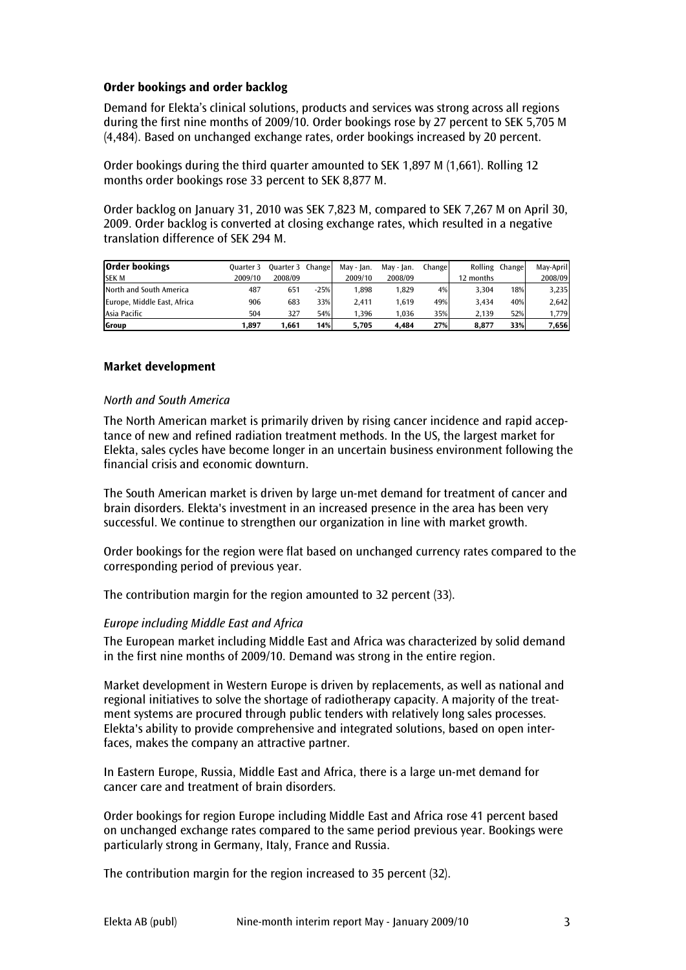#### Order bookings and order backlog

Demand for Elekta's clinical solutions, products and services was strong across all regions during the first nine months of 2009/10. Order bookings rose by 27 percent to SEK 5,705 M (4,484). Based on unchanged exchange rates, order bookings increased by 20 percent.

Order bookings during the third quarter amounted to SEK 1,897 M (1,661). Rolling 12 months order bookings rose 33 percent to SEK 8,877 M.

Order backlog on January 31, 2010 was SEK 7,823 M, compared to SEK 7,267 M on April 30, 2009. Order backlog is converted at closing exchange rates, which resulted in a negative translation difference of SEK 294 M.

| <b>Order bookings</b>       | Ouarter 3 | <b>Ouarter 3 Change</b> |        | May - Ian. | May - Ian. | Change |           | Rolling Change | Mav-April |
|-----------------------------|-----------|-------------------------|--------|------------|------------|--------|-----------|----------------|-----------|
| <b>SEK M</b>                | 2009/10   | 2008/09                 |        | 2009/10    | 2008/09    |        | 12 months |                | 2008/09   |
| North and South America     | 487       | 651                     | $-25%$ | .898       | 1.829      | 4%     | 3.304     | 18%            | 3,235     |
| Europe, Middle East, Africa | 906       | 683                     | 33%    | 2.411      | 1.619      | 49%    | 3.434     | 40%            | 2,642     |
| Asia Pacific                | 504       | 327                     | 54%    | .396       | 1,036      | 35%    | 2.139     | 52%            | 1.779     |
| Group                       | 1.897     | 1.661                   | 14%    | 5.705      | 4.484      | 27%    | 8.877     | 33%            | 7,656     |

#### Market development

#### North and South America

The North American market is primarily driven by rising cancer incidence and rapid acceptance of new and refined radiation treatment methods. In the US, the largest market for Elekta, sales cycles have become longer in an uncertain business environment following the financial crisis and economic downturn.

The South American market is driven by large un-met demand for treatment of cancer and brain disorders. Elekta's investment in an increased presence in the area has been very successful. We continue to strengthen our organization in line with market growth.

Order bookings for the region were flat based on unchanged currency rates compared to the corresponding period of previous year.

The contribution margin for the region amounted to 32 percent (33).

#### Europe including Middle East and Africa

The European market including Middle East and Africa was characterized by solid demand in the first nine months of 2009/10. Demand was strong in the entire region.

Market development in Western Europe is driven by replacements, as well as national and regional initiatives to solve the shortage of radiotherapy capacity. A majority of the treatment systems are procured through public tenders with relatively long sales processes. Elekta's ability to provide comprehensive and integrated solutions, based on open interfaces, makes the company an attractive partner.

In Eastern Europe, Russia, Middle East and Africa, there is a large un-met demand for cancer care and treatment of brain disorders.

Order bookings for region Europe including Middle East and Africa rose 41 percent based on unchanged exchange rates compared to the same period previous year. Bookings were particularly strong in Germany, Italy, France and Russia.

The contribution margin for the region increased to 35 percent (32).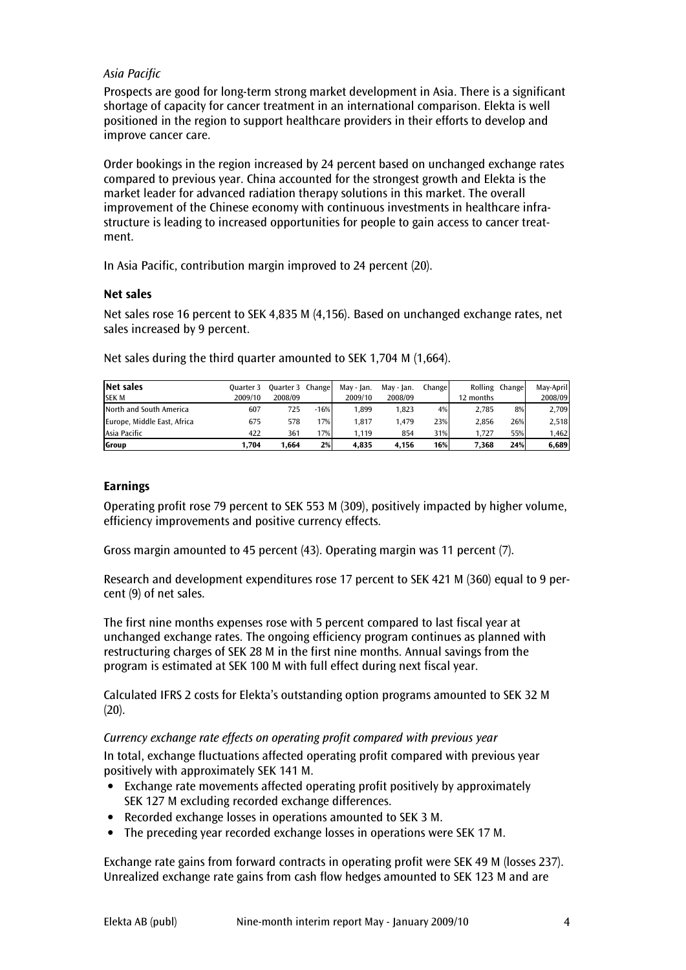# Asia Pacific

Prospects are good for long-term strong market development in Asia. There is a significant shortage of capacity for cancer treatment in an international comparison. Elekta is well positioned in the region to support healthcare providers in their efforts to develop and improve cancer care.

Order bookings in the region increased by 24 percent based on unchanged exchange rates compared to previous year. China accounted for the strongest growth and Elekta is the market leader for advanced radiation therapy solutions in this market. The overall improvement of the Chinese economy with continuous investments in healthcare infrastructure is leading to increased opportunities for people to gain access to cancer treatment.

In Asia Pacific, contribution margin improved to 24 percent (20).

#### Net sales

Net sales rose 16 percent to SEK 4,835 M (4,156). Based on unchanged exchange rates, net sales increased by 9 percent.

| Net sales                   | Ouarter 3 | Ouarter 3 Change |        | May - Ian. | Mav - Ian. | Changel |           | Rolling Change | May-April |
|-----------------------------|-----------|------------------|--------|------------|------------|---------|-----------|----------------|-----------|
| <b>SEK M</b>                | 2009/10   | 2008/09          |        | 2009/10    | 2008/09    |         | 12 months |                | 2008/09   |
| North and South America     | 607       | 725              | $-16%$ | .899       | 1.823      | 4%      | 2.785     | 8%             | 2,709     |
| Europe, Middle East, Africa | 675       | 578              | 17%    | .817       | 1.479      | 23%     | 2.856     | 26%            | 2,518     |
| Asia Pacific                | 422       | 361              | 17%    | .119       | 854        | 31%     | 1.727     | 55%            | 1,462     |
| Group                       | 704.ا     | 1.664            | 2%     | 4.835      | 4.156      | 16%     | 7.368     | 24%            | 6,689     |

Net sales during the third quarter amounted to SEK 1,704 M (1,664).

#### Earnings

Operating profit rose 79 percent to SEK 553 M (309), positively impacted by higher volume, efficiency improvements and positive currency effects.

Gross margin amounted to 45 percent (43). Operating margin was 11 percent (7).

Research and development expenditures rose 17 percent to SEK 421 M (360) equal to 9 percent (9) of net sales.

The first nine months expenses rose with 5 percent compared to last fiscal year at unchanged exchange rates. The ongoing efficiency program continues as planned with restructuring charges of SEK 28 M in the first nine months. Annual savings from the program is estimated at SEK 100 M with full effect during next fiscal year.

Calculated IFRS 2 costs for Elekta's outstanding option programs amounted to SEK 32 M  $(20).$ 

#### Currency exchange rate effects on operating profit compared with previous year

In total, exchange fluctuations affected operating profit compared with previous year positively with approximately SEK 141 M.

- Exchange rate movements affected operating profit positively by approximately SEK 127 M excluding recorded exchange differences.
- Recorded exchange losses in operations amounted to SEK 3 M.
- The preceding year recorded exchange losses in operations were SEK 17 M.

Exchange rate gains from forward contracts in operating profit were SEK 49 M (losses 237). Unrealized exchange rate gains from cash flow hedges amounted to SEK 123 M and are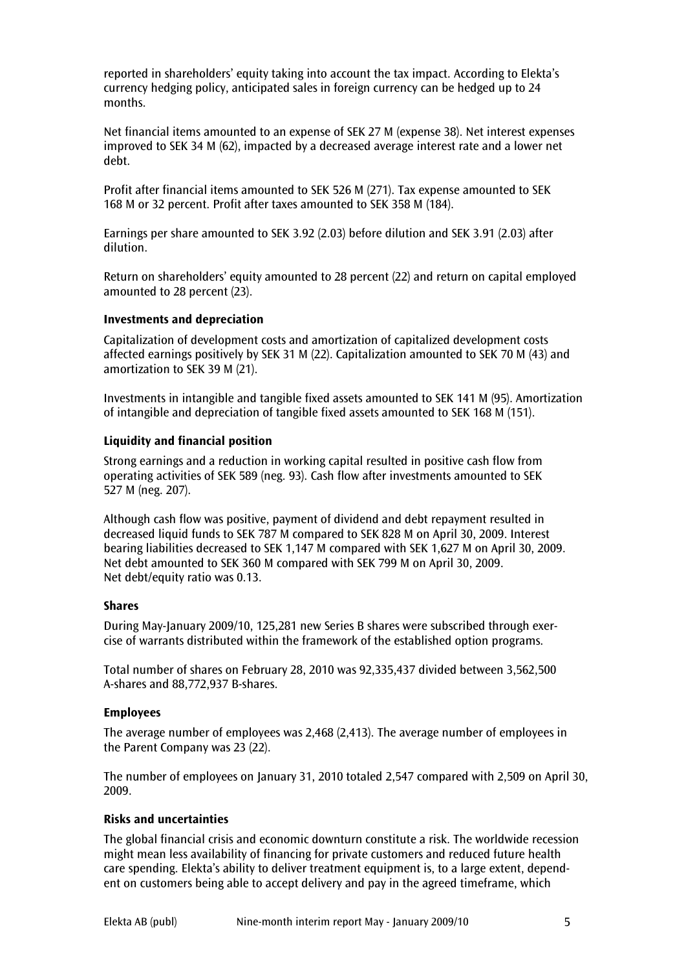reported in shareholders' equity taking into account the tax impact. According to Elekta's currency hedging policy, anticipated sales in foreign currency can be hedged up to 24 months.

Net financial items amounted to an expense of SEK 27 M (expense 38). Net interest expenses improved to SEK 34 M (62), impacted by a decreased average interest rate and a lower net debt.

Profit after financial items amounted to SEK 526 M (271). Tax expense amounted to SEK 168 M or 32 percent. Profit after taxes amounted to SEK 358 M (184).

Earnings per share amounted to SEK 3.92 (2.03) before dilution and SEK 3.91 (2.03) after dilution.

Return on shareholders' equity amounted to 28 percent (22) and return on capital employed amounted to 28 percent (23).

#### Investments and depreciation

Capitalization of development costs and amortization of capitalized development costs affected earnings positively by SEK 31 M (22). Capitalization amounted to SEK 70 M (43) and amortization to SEK 39 M (21).

Investments in intangible and tangible fixed assets amounted to SEK 141 M (95). Amortization of intangible and depreciation of tangible fixed assets amounted to SEK 168 M (151).

#### Liquidity and financial position

Strong earnings and a reduction in working capital resulted in positive cash flow from operating activities of SEK 589 (neg. 93). Cash flow after investments amounted to SEK 527 M (neg. 207).

Although cash flow was positive, payment of dividend and debt repayment resulted in decreased liquid funds to SEK 787 M compared to SEK 828 M on April 30, 2009. Interest bearing liabilities decreased to SEK 1,147 M compared with SEK 1,627 M on April 30, 2009. Net debt amounted to SEK 360 M compared with SEK 799 M on April 30, 2009. Net debt/equity ratio was 0.13.

#### Shares

During May-January 2009/10, 125,281 new Series B shares were subscribed through exercise of warrants distributed within the framework of the established option programs.

Total number of shares on February 28, 2010 was 92,335,437 divided between 3,562,500 A-shares and 88,772,937 B-shares.

## Employees

The average number of employees was 2,468 (2,413). The average number of employees in the Parent Company was 23 (22).

The number of employees on January 31, 2010 totaled 2,547 compared with 2,509 on April 30, 2009.

## Risks and uncertainties

The global financial crisis and economic downturn constitute a risk. The worldwide recession might mean less availability of financing for private customers and reduced future health care spending. Elekta's ability to deliver treatment equipment is, to a large extent, dependent on customers being able to accept delivery and pay in the agreed timeframe, which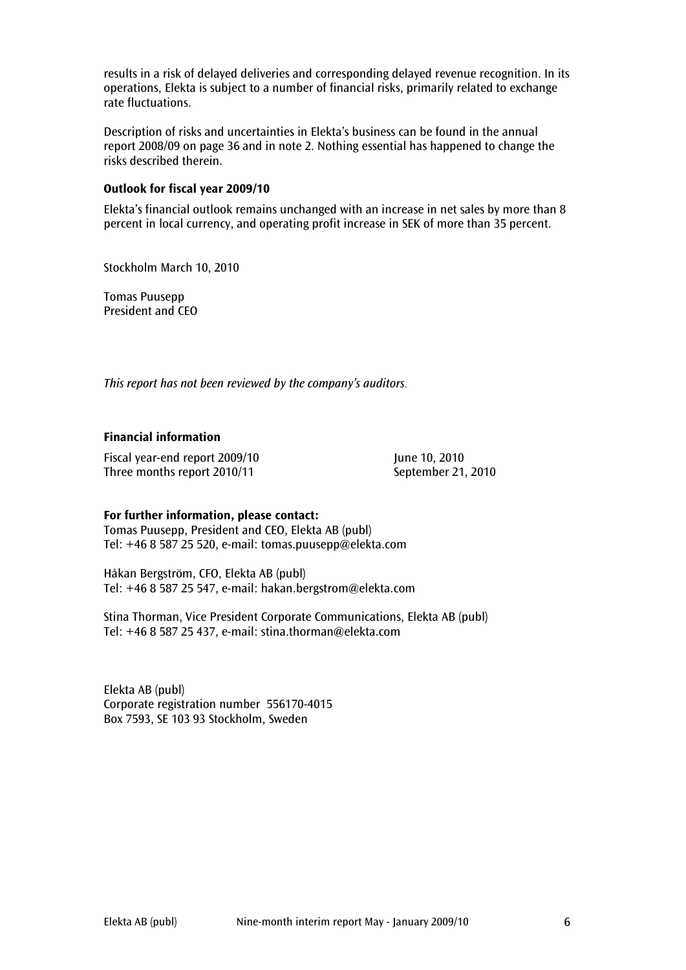results in a risk of delayed deliveries and corresponding delayed revenue recognition. In its operations, Elekta is subject to a number of financial risks, primarily related to exchange rate fluctuations.

Description of risks and uncertainties in Elekta's business can be found in the annual report 2008/09 on page 36 and in note 2. Nothing essential has happened to change the risks described therein.

#### Outlook for fiscal year 2009/10

Elekta's financial outlook remains unchanged with an increase in net sales by more than 8 percent in local currency, and operating profit increase in SEK of more than 35 percent.

Stockholm March 10, 2010

Tomas Puusepp President and CEO

This report has not been reviewed by the company's auditors.

#### Financial information

Fiscal year-end report 2009/10 June 10, 2010 Three months report 2010/11 September 21, 2010

#### For further information, please contact:

Tomas Puusepp, President and CEO, Elekta AB (publ) Tel: +46 8 587 25 520, e-mail: tomas.puusepp@elekta.com

Håkan Bergström, CFO, Elekta AB (publ) Tel: +46 8 587 25 547, e-mail: hakan.bergstrom@elekta.com

Stina Thorman, Vice President Corporate Communications, Elekta AB (publ) Tel: +46 8 587 25 437, e-mail: stina.thorman@elekta.com

Elekta AB (publ) Corporate registration number 556170-4015 Box 7593, SE 103 93 Stockholm, Sweden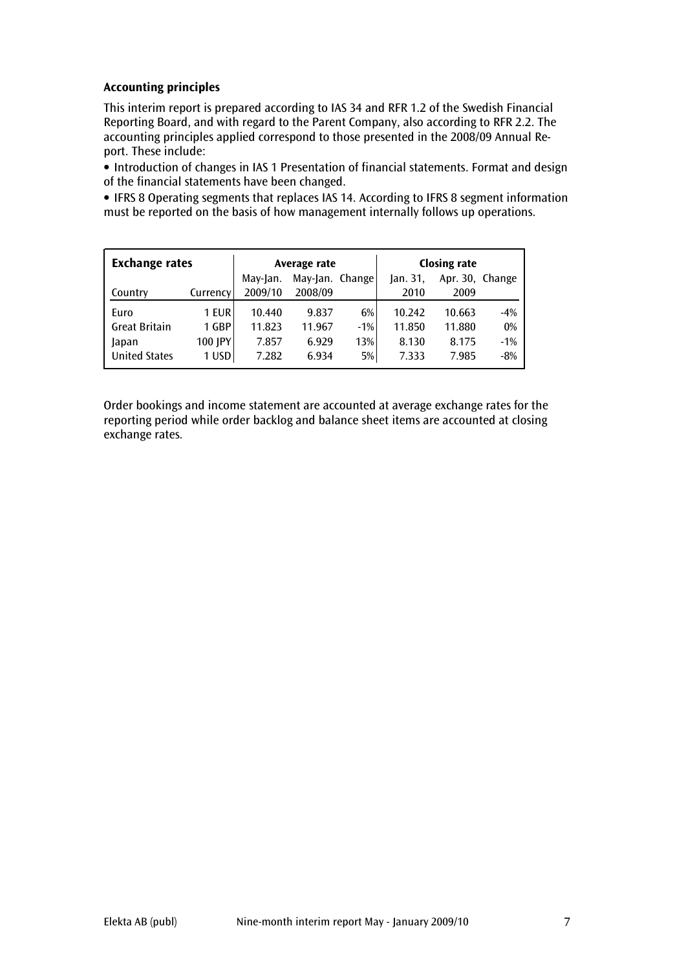# Accounting principles

This interim report is prepared according to IAS 34 and RFR 1.2 of the Swedish Financial Reporting Board, and with regard to the Parent Company, also according to RFR 2.2. The accounting principles applied correspond to those presented in the 2008/09 Annual Report. These include:

• Introduction of changes in IAS 1 Presentation of financial statements. Format and design of the financial statements have been changed.

• IFRS 8 Operating segments that replaces IAS 14. According to IFRS 8 segment information must be reported on the basis of how management internally follows up operations.

| <b>Exchange rates</b> |          |          | Average rate    |       | <b>Closing rate</b> |                 |       |  |
|-----------------------|----------|----------|-----------------|-------|---------------------|-----------------|-------|--|
|                       |          | May-Jan. | May-Jan. Change |       | lan.31              | Apr. 30, Change |       |  |
| Country               | Currency | 2009/10  | 2008/09         |       | 2010                | 2009            |       |  |
| Euro                  | 1 EUR    | 10.440   | 9.837           | 6%    | 10.242              | 10.663          | $-4%$ |  |
| <b>Great Britain</b>  | 1 GBP    | 11.823   | 11.967          | $-1%$ | 11.850              | 11.880          | 0%    |  |
| Japan                 | 100 JPY  | 7.857    | 6.929           | 13%   | 8.130               | 8.175           | $-1%$ |  |
| <b>United States</b>  | 1 USD    | 7.282    | 6.934           | 5%    | 7.333               | 7.985           | $-8%$ |  |

Order bookings and income statement are accounted at average exchange rates for the reporting period while order backlog and balance sheet items are accounted at closing exchange rates.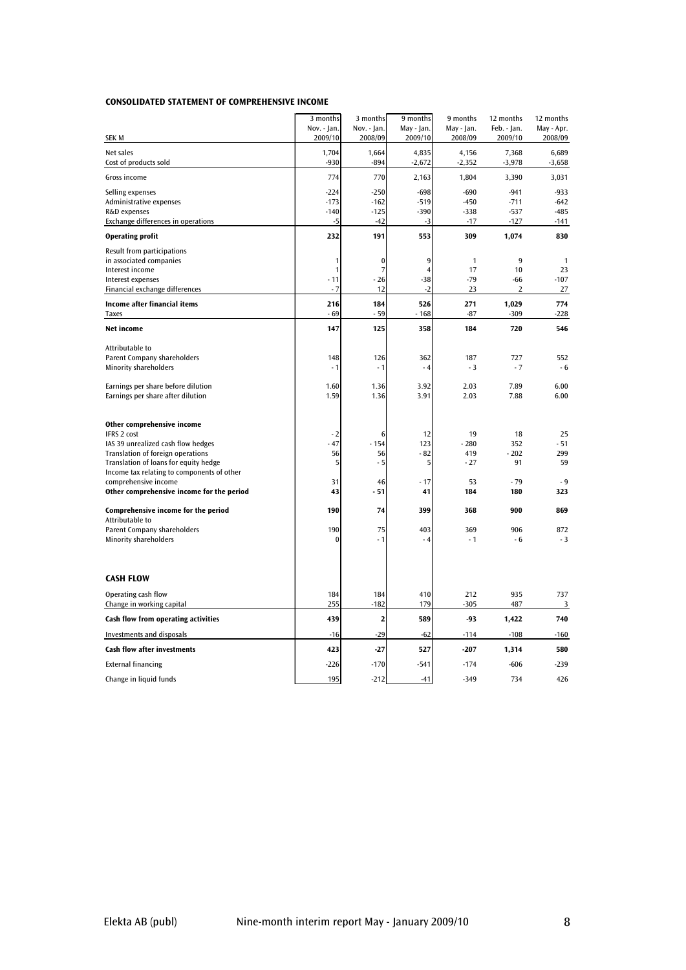#### CONSOLIDATED STATEMENT OF COMPREHENSIVE INCOME

|                                                                    | 3 months<br>Nov. - Jan. | 3 months<br>Nov. - Jan. | 9 months<br>May - Jan.  | 9 months<br>May - Jan. | 12 months<br>Feb. - Jan. | 12 months<br>May - Apr. |
|--------------------------------------------------------------------|-------------------------|-------------------------|-------------------------|------------------------|--------------------------|-------------------------|
| SEK M                                                              | 2009/10                 | 2008/09                 | 2009/10                 | 2008/09                | 2009/10                  | 2008/09                 |
| Net sales<br>Cost of products sold                                 | 1,704<br>$-930$         | 1,664<br>$-894$         | 4,835<br>$-2,672$       | 4,156<br>$-2,352$      | 7,368<br>$-3,978$        | 6,689<br>$-3,658$       |
| Gross income                                                       | 774                     | 770                     | 2,163                   | 1,804                  | 3,390                    | 3,031                   |
| Selling expenses                                                   | $-224$                  | $-250$                  | $-698$                  | $-690$                 | $-941$                   | $-933$                  |
| Administrative expenses                                            | $-173$                  | $-162$                  | $-519$                  | $-450$                 | $-711$                   | $-642$                  |
| R&D expenses                                                       | $-140$                  | $-125$                  | $-390$                  | $-338$                 | $-537$                   | $-485$                  |
| Exchange differences in operations                                 | $-5$                    | $-42$                   | $-3$                    | $-17$                  | $-127$                   | $-141$                  |
| <b>Operating profit</b>                                            | 232                     | 191                     | 553                     | 309                    | 1,074                    | 830                     |
| Result from participations                                         |                         |                         |                         |                        |                          |                         |
| in associated companies                                            | 1                       | $\bf{0}$                | 9                       | $\mathbf{1}$           | 9                        | 1                       |
| Interest income<br>Interest expenses                               | 1<br>- 11               | 7<br>$-26$              | $\overline{4}$<br>$-38$ | 17<br>$-79$            | 10<br>$-66$              | 23<br>$-107$            |
| Financial exchange differences                                     | $-7$                    | 12                      | $-2$                    | 23                     | 2                        | 27                      |
| Income after financial items                                       | 216                     | 184                     | 526                     | 271                    | 1,029                    | 774                     |
| <b>Taxes</b>                                                       | - 69                    | $-59$                   | $-168$                  | $-87$                  | $-309$                   | $-228$                  |
| <b>Net income</b>                                                  | 147                     | 125                     | 358                     | 184                    | 720                      | 546                     |
| Attributable to                                                    |                         |                         |                         |                        |                          |                         |
| Parent Company shareholders                                        | 148                     | 126                     | 362                     | 187                    | 727                      | 552                     |
| <b>Minority shareholders</b>                                       | - 1                     | - 1                     | $-4$                    | $-3$                   | $-7$                     | $-6$                    |
| Earnings per share before dilution                                 | 1.60                    | 1.36                    | 3.92                    | 2.03                   | 7.89                     | 6.00                    |
| Earnings per share after dilution                                  | 1.59                    | 1.36                    | 3.91                    | 2.03                   | 7.88                     | 6.00                    |
|                                                                    |                         |                         |                         |                        |                          |                         |
| Other comprehensive income                                         |                         |                         |                         |                        |                          |                         |
| <b>IFRS 2 cost</b>                                                 | - 2                     | 6                       | 12                      | 19                     | 18                       | 25                      |
| IAS 39 unrealized cash flow hedges                                 | $-47$                   | $-154$                  | 123                     | $-280$                 | 352                      | $-51$                   |
| Translation of foreign operations                                  | 56                      | 56                      | - 82                    | 419                    | $-202$                   | 299                     |
| Translation of loans for equity hedge                              | 5                       | - 5                     | 5                       | - 27                   | 91                       | 59                      |
| Income tax relating to components of other<br>comprehensive income | 31                      | 46                      | $-17$                   | 53                     | $-79$                    | $-9$                    |
| Other comprehensive income for the period                          | 43                      | $-51$                   | 41                      | 184                    | 180                      | 323                     |
|                                                                    |                         |                         |                         |                        |                          |                         |
| Comprehensive income for the period<br>Attributable to             | 190                     | 74                      | 399                     | 368                    | 900                      | 869                     |
| Parent Company shareholders                                        | 190                     | 75                      | 403                     | 369                    | 906                      | 872                     |
| Minority shareholders                                              | ſ                       | - 1                     | $-4$                    | $-1$                   | - 6                      | $-3$                    |
|                                                                    |                         |                         |                         |                        |                          |                         |
| <b>CASH FLOW</b>                                                   |                         |                         |                         |                        |                          |                         |
| Operating cash flow                                                | 184                     | 184                     | 410                     | 212                    | 935                      | 737                     |
| Change in working capital                                          | 255                     | $-182$                  | 179                     | $-305$                 | 487                      | 3                       |
| Cash flow from operating activities                                | 439                     | 2                       | 589                     | -93                    | 1,422                    | 740                     |
| Investments and disposals                                          | $-16$                   | $-29$                   | $-62$                   | $-114$                 | $-108$                   | $-160$                  |
| <b>Cash flow after investments</b>                                 | 423                     | $-27$                   | 527                     | $-207$                 | 1,314                    | 580                     |
| <b>External financing</b>                                          | $-226$                  | $-170$                  | $-541$                  | $-174$                 | $-606$                   | $-239$                  |
| Change in liquid funds                                             | 195                     | $-212$                  | $-41$                   | $-349$                 | 734                      | 426                     |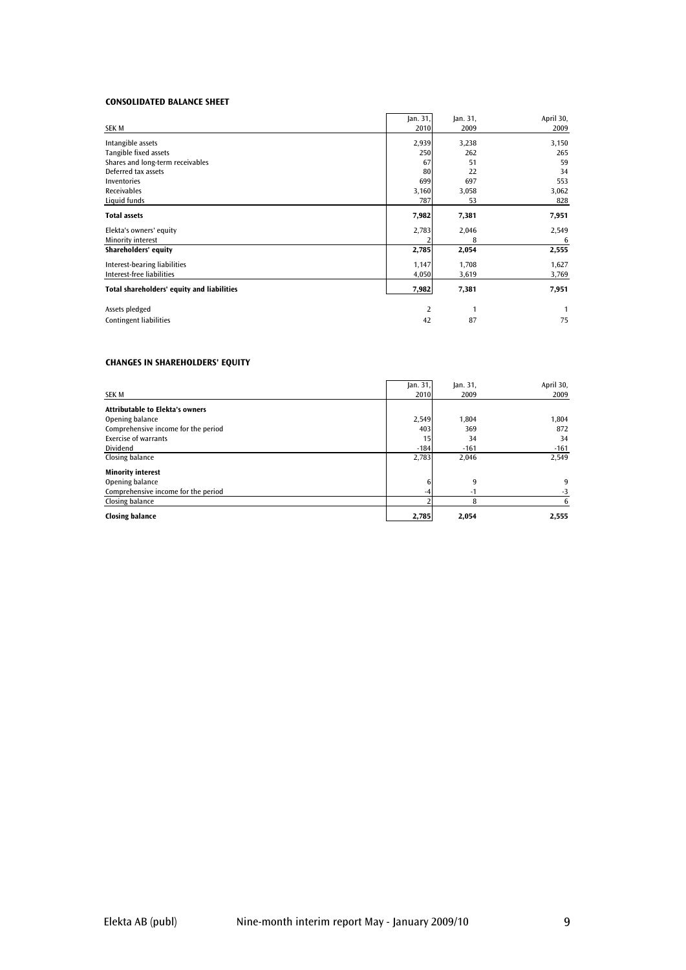#### CONSOLIDATED BALANCE SHEET

| SEK M                                      | Jan. 31,<br>2010 | Jan. 31,<br>2009 | April 30,<br>2009 |
|--------------------------------------------|------------------|------------------|-------------------|
| Intangible assets                          | 2,939            | 3,238            | 3,150             |
| Tangible fixed assets                      | 250              | 262              | 265               |
| Shares and long-term receivables           | 67               | 51               | 59                |
| Deferred tax assets                        | 80               | 22               | 34                |
| <b>Inventories</b>                         | 699              | 697              | 553               |
| <b>Receivables</b>                         | 3,160            | 3,058            | 3,062             |
| Liquid funds                               | 787              | 53               | 828               |
| <b>Total assets</b>                        | 7,982            | 7,381            | 7,951             |
| Elekta's owners' equity                    | 2,783            | 2,046            | 2,549             |
| Minority interest                          |                  | 8                | -6                |
| Shareholders' equity                       | 2,785            | 2,054            | 2,555             |
| Interest-bearing liabilities               | 1,147            | 1,708            | 1,627             |
| Interest-free liabilities                  | 4,050            | 3,619            | 3,769             |
| Total shareholders' equity and liabilities | 7,982            | 7,381            | 7,951             |
| Assets pledged                             | 2                | 1                |                   |
| <b>Contingent liabilities</b>              | 42               | 87               | 75                |

#### CHANGES IN SHAREHOLDERS' EQUITY

|                                        | Jan. 31, | jan.31, | April 30, |
|----------------------------------------|----------|---------|-----------|
| <b>SEK M</b>                           | 2010     | 2009    | 2009      |
| <b>Attributable to Elekta's owners</b> |          |         |           |
| Opening balance                        | 2,549    | 1.804   | 1,804     |
| Comprehensive income for the period    | 403      | 369     | 872       |
| <b>Exercise of warrants</b>            | 15       | 34      | 34        |
| <b>Dividend</b>                        | $-184$   | $-161$  | $-161$    |
| Closing balance                        | 2,783    | 2,046   | 2,549     |
| <b>Minority interest</b>               |          |         |           |
| Opening balance                        | 6        | 9       | 9         |
| Comprehensive income for the period    | -4       |         | $-3$      |
| Closing balance                        |          | 8       |           |
| <b>Closing balance</b>                 | 2,785    | 2,054   | 2,555     |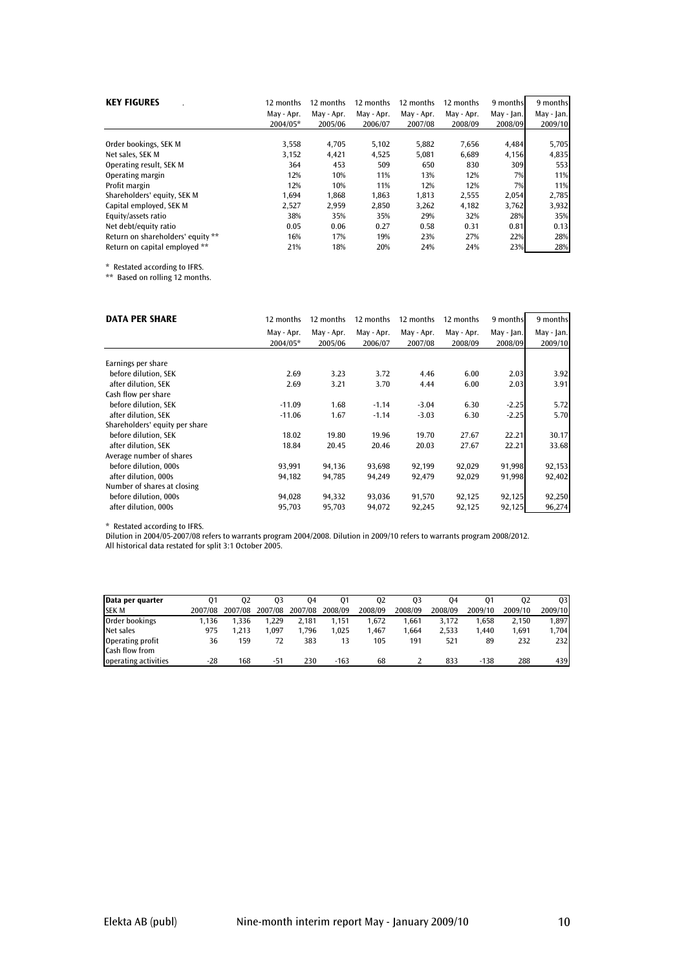| <b>KEY FIGURES</b>                | 12 months  | 12 months  | 12 months  | 12 months  | 12 months  | 9 months   | 9 months   |
|-----------------------------------|------------|------------|------------|------------|------------|------------|------------|
|                                   | May - Apr. | May - Apr. | May - Apr. | May - Apr. | May - Apr. | May - Jan. | May - Jan. |
|                                   | 2004/05*   | 2005/06    | 2006/07    | 2007/08    | 2008/09    | 2008/09    | 2009/10    |
| Order bookings, SEK M             | 3,558      | 4,705      | 5,102      | 5,882      | 7,656      | 4,484      | 5,705      |
| Net sales. SEK M                  | 3,152      | 4,421      | 4,525      | 5,081      | 6.689      | 4,156      | 4,835      |
| Operating result, SEK M           | 364        | 453        | 509        | 650        | 830        | 309        | 553        |
| Operating margin                  | 12%        | 10%        | 11%        | 13%        | 12%        | 7%         | 11%        |
| Profit margin                     | 12%        | 10%        | 11%        | 12%        | 12%        | 7%         | 11%        |
| Shareholders' equity, SEK M       | 1.694      | 1.868      | 1.863      | 1.813      | 2,555      | 2,054      | 2,785      |
| Capital employed, SEK M           | 2,527      | 2,959      | 2,850      | 3,262      | 4,182      | 3,762      | 3,932      |
| Equity/assets ratio               | 38%        | 35%        | 35%        | 29%        | 32%        | 28%        | 35%        |
| Net debt/equity ratio             | 0.05       | 0.06       | 0.27       | 0.58       | 0.31       | 0.81       | 0.13       |
| Return on shareholders' equity ** | 16%        | 17%        | 19%        | 23%        | 27%        | 22%        | 28%        |
| Return on capital employed **     | 21%        | 18%        | 20%        | 24%        | 24%        | 23%        | 28%        |

\* Restated according to IFRS.

\*\* Based on rolling 12 months.

| <b>DATA PER SHARE</b>          | 12 months  | 12 months  | 12 months  | 12 months  | 12 months  | 9 months   | 9 months   |
|--------------------------------|------------|------------|------------|------------|------------|------------|------------|
|                                | May - Apr. | May - Apr. | May - Apr. | May - Apr. | May - Apr. | May - Jan. | May - Jan. |
|                                | 2004/05*   | 2005/06    | 2006/07    | 2007/08    | 2008/09    | 2008/09    | 2009/10    |
| Earnings per share             |            |            |            |            |            |            |            |
| before dilution, SEK           | 2.69       | 3.23       | 3.72       | 4.46       | 6.00       | 2.03       | 3.92       |
| after dilution, SEK            | 2.69       | 3.21       | 3.70       | 4.44       | 6.00       | 2.03       | 3.91       |
| Cash flow per share            |            |            |            |            |            |            |            |
| before dilution, SEK           | $-11.09$   | 1.68       | $-1.14$    | $-3.04$    | 6.30       | $-2.25$    | 5.72       |
| after dilution, SEK            | $-11.06$   | 1.67       | $-1.14$    | $-3.03$    | 6.30       | $-2.25$    | 5.70       |
| Shareholders' equity per share |            |            |            |            |            |            |            |
| before dilution, SEK           | 18.02      | 19.80      | 19.96      | 19.70      | 27.67      | 22.21      | 30.17      |
| after dilution. SEK            | 18.84      | 20.45      | 20.46      | 20.03      | 27.67      | 22.21      | 33.68      |
| Average number of shares       |            |            |            |            |            |            |            |
| before dilution, 000s          | 93,991     | 94,136     | 93,698     | 92,199     | 92,029     | 91,998     | 92,153     |
| after dilution, 000s           | 94,182     | 94,785     | 94,249     | 92,479     | 92,029     | 91,998     | 92,402     |
| Number of shares at closing    |            |            |            |            |            |            |            |
| before dilution, 000s          | 94,028     | 94,332     | 93,036     | 91,570     | 92,125     | 92,125     | 92,250     |
| after dilution, 000s           | 95,703     | 95,703     | 94,072     | 92,245     | 92,125     | 92,125     | 96,274     |

\* Restated according to IFRS.

Dilution in 2004/05-2007/08 refers to warrants program 2004/2008. Dilution in 2009/10 refers to warrants program 2008/2012.

All historical data restated for split 3:1 October 2005.

| Data per quarter     | 01      | 02      | 03      | 04      | 01      | 02      | 03      | 04      | 01      | 02      | 03      |
|----------------------|---------|---------|---------|---------|---------|---------|---------|---------|---------|---------|---------|
| <b>SEK M</b>         | 2007/08 | 2007/08 | 2007/08 | 2007/08 | 2008/09 | 2008/09 | 2008/09 | 2008/09 | 2009/10 | 2009/10 | 2009/10 |
| Order bookings       | 1.136   | 1.336   | 1.229   | 2.181   | 1.151   | .672    | 1.661   | 3.172   | 1.658   | 2.150   | 1.897   |
| Net sales            | 975     | 1.213   | .097    | .796    | 1.025   | .467    | 1.664   | 2.533   | 1.440   | 1.691   | 1,704   |
| Operating profit     | 36      | 159     | 72      | 383     | 13      | 105     | 191     | 521     | 89      | 232     | 2321    |
| Cash flow from       |         |         |         |         |         |         |         |         |         |         |         |
| operating activities | -28     | 168     | -51     | 230     | $-163$  | 68      |         | 833     | $-138$  | 288     | 439     |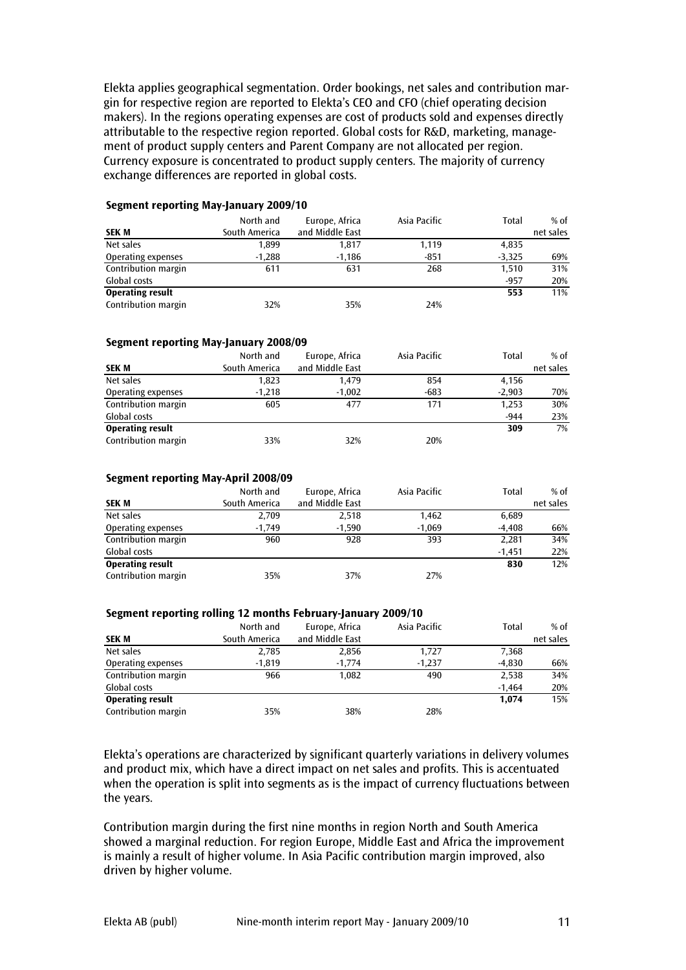Elekta applies geographical segmentation. Order bookings, net sales and contribution margin for respective region are reported to Elekta's CEO and CFO (chief operating decision makers). In the regions operating expenses are cost of products sold and expenses directly attributable to the respective region reported. Global costs for R&D, marketing, management of product supply centers and Parent Company are not allocated per region. Currency exposure is concentrated to product supply centers. The majority of currency exchange differences are reported in global costs.

#### Segment reporting May-January 2009/10

| <b>SEK M</b>            | North and<br>South America | Europe, Africa<br>and Middle East | Asia Pacific | Total    | $%$ of<br>net sales |
|-------------------------|----------------------------|-----------------------------------|--------------|----------|---------------------|
|                         |                            |                                   |              |          |                     |
| Net sales               | 1,899                      | 1,817                             | 1,119        | 4,835    |                     |
| Operating expenses      | $-1,288$                   | $-1.186$                          | $-851$       | $-3.325$ | 69%                 |
| Contribution margin     | 611                        | 631                               | 268          | 1,510    | 31%                 |
| Global costs            |                            |                                   |              | $-957$   | 20%                 |
| <b>Operating result</b> |                            |                                   |              | 553      | 11%                 |
| Contribution margin     | 32%                        | 35%                               | 24%          |          |                     |

#### Segment reporting May-January 2008/09

|                         | North and     | Europe, Africa  | Asia Pacific | Total    | $%$ of    |
|-------------------------|---------------|-----------------|--------------|----------|-----------|
| <b>SEK M</b>            | South America | and Middle East |              |          | net sales |
| Net sales               | 1,823         | 1.479           | 854          | 4.156    |           |
| Operating expenses      | $-1.218$      | $-1,002$        | -683         | $-2,903$ | 70%       |
| Contribution margin     | 605           | 477             | 171          | 1,253    | 30%       |
| Global costs            |               |                 |              | $-944$   | 23%       |
| <b>Operating result</b> |               |                 |              | 309      | 7%        |
| Contribution margin     | 33%           | 32%             | 20%          |          |           |

#### Segment reporting May-April 2008/09

| <b>SEK M</b>            | North and<br>South America | Europe, Africa<br>and Middle East | Asia Pacific | Total    | $%$ of<br>net sales |
|-------------------------|----------------------------|-----------------------------------|--------------|----------|---------------------|
| Net sales               | 2,709                      | 2,518                             | 1.462        | 6,689    |                     |
| Operating expenses      | $-1.749$                   | $-1.590$                          | $-1.069$     | $-4.408$ | 66%                 |
| Contribution margin     | 960                        | 928                               | 393          | 2,281    | 34%                 |
| Global costs            |                            |                                   |              | $-1.451$ | 22%                 |
| <b>Operating result</b> |                            |                                   |              | 830      | 12%                 |
| Contribution margin     | 35%                        | 37%                               | 27%          |          |                     |

#### Segment reporting rolling 12 months February-January 2009/10

|                         | North and     | Europe, Africa  | Asia Pacific | Total    | $%$ of    |  |
|-------------------------|---------------|-----------------|--------------|----------|-----------|--|
| <b>SEK M</b>            | South America | and Middle East |              |          | net sales |  |
| Net sales               | 2.785         | 2.856           | 1.727        | 7,368    |           |  |
| Operating expenses      | $-1.819$      | $-1.774$        | $-1.237$     | $-4.830$ | 66%       |  |
| Contribution margin     | 966           | 1.082           | 490          | 2,538    | 34%       |  |
| Global costs            |               |                 |              | $-1.464$ | 20%       |  |
| <b>Operating result</b> |               |                 |              | 1.074    | 15%       |  |
| Contribution margin     | 35%           | 38%             | 28%          |          |           |  |

Elekta's operations are characterized by significant quarterly variations in delivery volumes and product mix, which have a direct impact on net sales and profits. This is accentuated when the operation is split into segments as is the impact of currency fluctuations between the years.

Contribution margin during the first nine months in region North and South America showed a marginal reduction. For region Europe, Middle East and Africa the improvement is mainly a result of higher volume. In Asia Pacific contribution margin improved, also driven by higher volume.